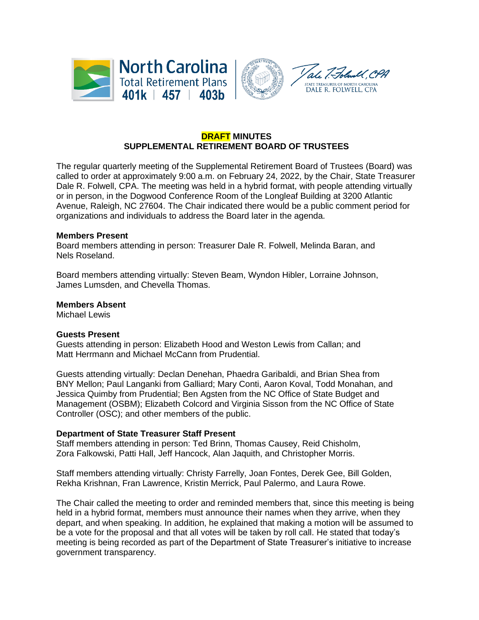



# **DRAFT MINUTES SUPPLEMENTAL RETIREMENT BOARD OF TRUSTEES**

The regular quarterly meeting of the Supplemental Retirement Board of Trustees (Board) was called to order at approximately 9:00 a.m. on February 24, 2022, by the Chair, State Treasurer Dale R. Folwell, CPA. The meeting was held in a hybrid format, with people attending virtually or in person, in the Dogwood Conference Room of the Longleaf Building at 3200 Atlantic Avenue, Raleigh, NC 27604. The Chair indicated there would be a public comment period for organizations and individuals to address the Board later in the agenda.

#### **Members Present**

Board members attending in person: Treasurer Dale R. Folwell, Melinda Baran, and Nels Roseland.

Board members attending virtually: Steven Beam, Wyndon Hibler, Lorraine Johnson, James Lumsden, and Chevella Thomas.

**Members Absent** 

Michael Lewis

#### **Guests Present**

Guests attending in person: Elizabeth Hood and Weston Lewis from Callan; and Matt Herrmann and Michael McCann from Prudential.

Guests attending virtually: Declan Denehan, Phaedra Garibaldi, and Brian Shea from BNY Mellon; Paul Langanki from Galliard; Mary Conti, Aaron Koval, Todd Monahan, and Jessica Quimby from Prudential; Ben Agsten from the NC Office of State Budget and Management (OSBM); Elizabeth Colcord and Virginia Sisson from the NC Office of State Controller (OSC); and other members of the public.

#### **Department of State Treasurer Staff Present**

Staff members attending in person: Ted Brinn, Thomas Causey, Reid Chisholm, Zora Falkowski, Patti Hall, Jeff Hancock, Alan Jaquith, and Christopher Morris.

Staff members attending virtually: Christy Farrelly, Joan Fontes, Derek Gee, Bill Golden, Rekha Krishnan, Fran Lawrence, Kristin Merrick, Paul Palermo, and Laura Rowe.

The Chair called the meeting to order and reminded members that, since this meeting is being held in a hybrid format, members must announce their names when they arrive, when they depart, and when speaking. In addition, he explained that making a motion will be assumed to be a vote for the proposal and that all votes will be taken by roll call. He stated that today's meeting is being recorded as part of the Department of State Treasurer's initiative to increase government transparency.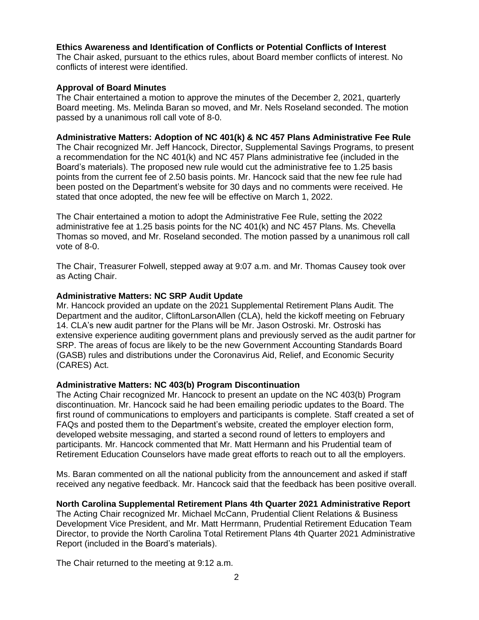# **Ethics Awareness and Identification of Conflicts or Potential Conflicts of Interest**

The Chair asked, pursuant to the ethics rules, about Board member conflicts of interest. No conflicts of interest were identified.

## **Approval of Board Minutes**

The Chair entertained a motion to approve the minutes of the December 2, 2021, quarterly Board meeting. Ms. Melinda Baran so moved, and Mr. Nels Roseland seconded. The motion passed by a unanimous roll call vote of 8-0.

### **Administrative Matters: Adoption of NC 401(k) & NC 457 Plans Administrative Fee Rule**

The Chair recognized Mr. Jeff Hancock, Director, Supplemental Savings Programs, to present a recommendation for the NC 401(k) and NC 457 Plans administrative fee (included in the Board's materials). The proposed new rule would cut the administrative fee to 1.25 basis points from the current fee of 2.50 basis points. Mr. Hancock said that the new fee rule had been posted on the Department's website for 30 days and no comments were received. He stated that once adopted, the new fee will be effective on March 1, 2022.

The Chair entertained a motion to adopt the Administrative Fee Rule, setting the 2022 administrative fee at 1.25 basis points for the NC 401(k) and NC 457 Plans. Ms. Chevella Thomas so moved, and Mr. Roseland seconded. The motion passed by a unanimous roll call vote of 8-0.

The Chair, Treasurer Folwell, stepped away at 9:07 a.m. and Mr. Thomas Causey took over as Acting Chair.

#### **Administrative Matters: NC SRP Audit Update**

Mr. Hancock provided an update on the 2021 Supplemental Retirement Plans Audit. The Department and the auditor, CliftonLarsonAllen (CLA), held the kickoff meeting on February 14. CLA's new audit partner for the Plans will be Mr. Jason Ostroski. Mr. Ostroski has extensive experience auditing government plans and previously served as the audit partner for SRP. The areas of focus are likely to be the new Government Accounting Standards Board (GASB) rules and distributions under the Coronavirus Aid, Relief, and Economic Security (CARES) Act.

#### **Administrative Matters: NC 403(b) Program Discontinuation**

The Acting Chair recognized Mr. Hancock to present an update on the NC 403(b) Program discontinuation. Mr. Hancock said he had been emailing periodic updates to the Board. The first round of communications to employers and participants is complete. Staff created a set of FAQs and posted them to the Department's website, created the employer election form, developed website messaging, and started a second round of letters to employers and participants. Mr. Hancock commented that Mr. Matt Hermann and his Prudential team of Retirement Education Counselors have made great efforts to reach out to all the employers.

Ms. Baran commented on all the national publicity from the announcement and asked if staff received any negative feedback. Mr. Hancock said that the feedback has been positive overall.

# **North Carolina Supplemental Retirement Plans 4th Quarter 2021 Administrative Report**

The Acting Chair recognized Mr. Michael McCann, Prudential Client Relations & Business Development Vice President, and Mr. Matt Herrmann, Prudential Retirement Education Team Director, to provide the North Carolina Total Retirement Plans 4th Quarter 2021 Administrative Report (included in the Board's materials).

The Chair returned to the meeting at 9:12 a.m.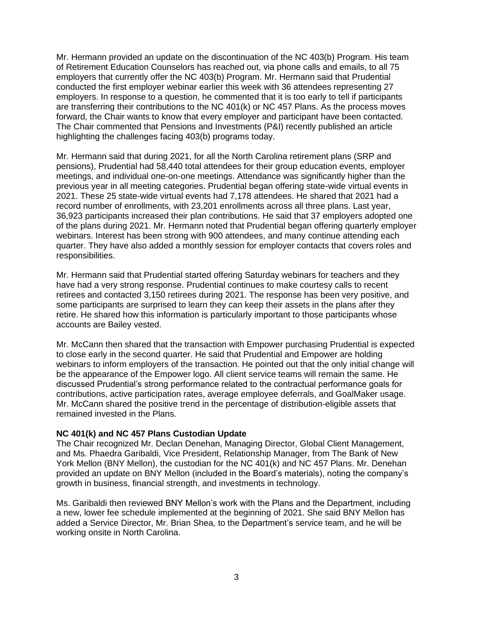Mr. Hermann provided an update on the discontinuation of the NC 403(b) Program. His team of Retirement Education Counselors has reached out, via phone calls and emails, to all 75 employers that currently offer the NC 403(b) Program. Mr. Hermann said that Prudential conducted the first employer webinar earlier this week with 36 attendees representing 27 employers. In response to a question, he commented that it is too early to tell if participants are transferring their contributions to the NC 401(k) or NC 457 Plans. As the process moves forward, the Chair wants to know that every employer and participant have been contacted. The Chair commented that Pensions and Investments (P&I) recently published an article highlighting the challenges facing 403(b) programs today.

Mr. Hermann said that during 2021, for all the North Carolina retirement plans (SRP and pensions), Prudential had 58,440 total attendees for their group education events, employer meetings, and individual one-on-one meetings. Attendance was significantly higher than the previous year in all meeting categories. Prudential began offering state-wide virtual events in 2021. These 25 state-wide virtual events had 7,178 attendees. He shared that 2021 had a record number of enrollments, with 23,201 enrollments across all three plans. Last year, 36,923 participants increased their plan contributions. He said that 37 employers adopted one of the plans during 2021. Mr. Hermann noted that Prudential began offering quarterly employer webinars. Interest has been strong with 900 attendees, and many continue attending each quarter. They have also added a monthly session for employer contacts that covers roles and responsibilities.

Mr. Hermann said that Prudential started offering Saturday webinars for teachers and they have had a very strong response. Prudential continues to make courtesy calls to recent retirees and contacted 3,150 retirees during 2021. The response has been very positive, and some participants are surprised to learn they can keep their assets in the plans after they retire. He shared how this information is particularly important to those participants whose accounts are Bailey vested.

Mr. McCann then shared that the transaction with Empower purchasing Prudential is expected to close early in the second quarter. He said that Prudential and Empower are holding webinars to inform employers of the transaction. He pointed out that the only initial change will be the appearance of the Empower logo. All client service teams will remain the same. He discussed Prudential's strong performance related to the contractual performance goals for contributions, active participation rates, average employee deferrals, and GoalMaker usage. Mr. McCann shared the positive trend in the percentage of distribution-eligible assets that remained invested in the Plans.

#### **NC 401(k) and NC 457 Plans Custodian Update**

The Chair recognized Mr. Declan Denehan, Managing Director, Global Client Management, and Ms. Phaedra Garibaldi, Vice President, Relationship Manager, from The Bank of New York Mellon (BNY Mellon), the custodian for the NC 401(k) and NC 457 Plans. Mr. Denehan provided an update on BNY Mellon (included in the Board's materials), noting the company's growth in business, financial strength, and investments in technology.

Ms. Garibaldi then reviewed BNY Mellon's work with the Plans and the Department, including a new, lower fee schedule implemented at the beginning of 2021. She said BNY Mellon has added a Service Director, Mr. Brian Shea, to the Department's service team, and he will be working onsite in North Carolina.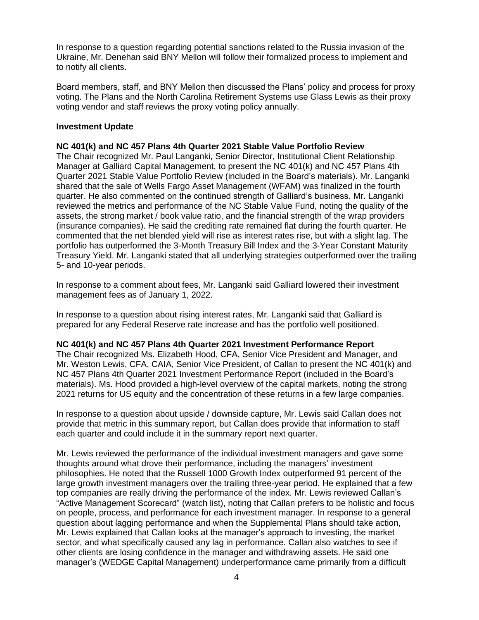In response to a question regarding potential sanctions related to the Russia invasion of the Ukraine, Mr. Denehan said BNY Mellon will follow their formalized process to implement and to notify all clients.

Board members, staff, and BNY Mellon then discussed the Plans' policy and process for proxy voting. The Plans and the North Carolina Retirement Systems use Glass Lewis as their proxy voting vendor and staff reviews the proxy voting policy annually.

## **Investment Update**

# **NC 401(k) and NC 457 Plans 4th Quarter 2021 Stable Value Portfolio Review**

The Chair recognized Mr. Paul Langanki, Senior Director, Institutional Client Relationship Manager at Galliard Capital Management, to present the NC 401(k) and NC 457 Plans 4th Quarter 2021 Stable Value Portfolio Review (included in the Board's materials). Mr. Langanki shared that the sale of Wells Fargo Asset Management (WFAM) was finalized in the fourth quarter. He also commented on the continued strength of Galliard's business. Mr. Langanki reviewed the metrics and performance of the NC Stable Value Fund, noting the quality of the assets, the strong market / book value ratio, and the financial strength of the wrap providers (insurance companies). He said the crediting rate remained flat during the fourth quarter. He commented that the net blended yield will rise as interest rates rise, but with a slight lag. The portfolio has outperformed the 3-Month Treasury Bill Index and the 3-Year Constant Maturity Treasury Yield. Mr. Langanki stated that all underlying strategies outperformed over the trailing 5- and 10-year periods.

In response to a comment about fees, Mr. Langanki said Galliard lowered their investment management fees as of January 1, 2022.

In response to a question about rising interest rates, Mr. Langanki said that Galliard is prepared for any Federal Reserve rate increase and has the portfolio well positioned.

#### **NC 401(k) and NC 457 Plans 4th Quarter 2021 Investment Performance Report**

The Chair recognized Ms. Elizabeth Hood, CFA, Senior Vice President and Manager, and Mr. Weston Lewis, CFA, CAIA, Senior Vice President, of Callan to present the NC 401(k) and NC 457 Plans 4th Quarter 2021 Investment Performance Report (included in the Board's materials). Ms. Hood provided a high-level overview of the capital markets, noting the strong 2021 returns for US equity and the concentration of these returns in a few large companies.

In response to a question about upside / downside capture, Mr. Lewis said Callan does not provide that metric in this summary report, but Callan does provide that information to staff each quarter and could include it in the summary report next quarter.

Mr. Lewis reviewed the performance of the individual investment managers and gave some thoughts around what drove their performance, including the managers' investment philosophies. He noted that the Russell 1000 Growth Index outperformed 91 percent of the large growth investment managers over the trailing three-year period. He explained that a few top companies are really driving the performance of the index. Mr. Lewis reviewed Callan's "Active Management Scorecard" (watch list), noting that Callan prefers to be holistic and focus on people, process, and performance for each investment manager. In response to a general question about lagging performance and when the Supplemental Plans should take action, Mr. Lewis explained that Callan looks at the manager's approach to investing, the market sector, and what specifically caused any lag in performance. Callan also watches to see if other clients are losing confidence in the manager and withdrawing assets. He said one manager's (WEDGE Capital Management) underperformance came primarily from a difficult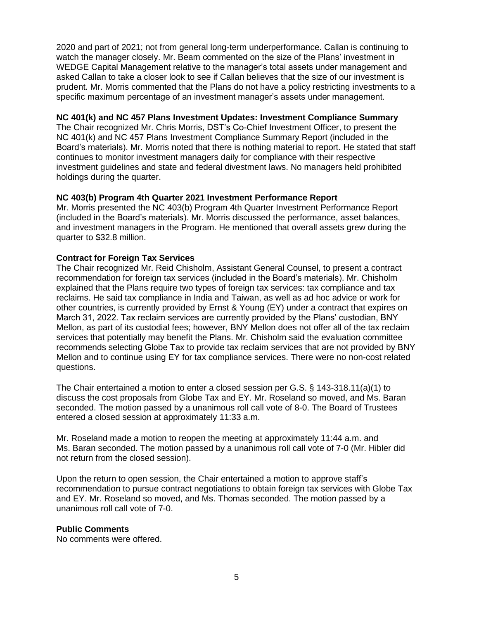2020 and part of 2021; not from general long-term underperformance. Callan is continuing to watch the manager closely. Mr. Beam commented on the size of the Plans' investment in WEDGE Capital Management relative to the manager's total assets under management and asked Callan to take a closer look to see if Callan believes that the size of our investment is prudent. Mr. Morris commented that the Plans do not have a policy restricting investments to a specific maximum percentage of an investment manager's assets under management.

## **NC 401(k) and NC 457 Plans Investment Updates: Investment Compliance Summary**

The Chair recognized Mr. Chris Morris, DST's Co-Chief Investment Officer, to present the NC 401(k) and NC 457 Plans Investment Compliance Summary Report (included in the Board's materials). Mr. Morris noted that there is nothing material to report. He stated that staff continues to monitor investment managers daily for compliance with their respective investment guidelines and state and federal divestment laws. No managers held prohibited holdings during the quarter.

# **NC 403(b) Program 4th Quarter 2021 Investment Performance Report**

Mr. Morris presented the NC 403(b) Program 4th Quarter Investment Performance Report (included in the Board's materials). Mr. Morris discussed the performance, asset balances, and investment managers in the Program. He mentioned that overall assets grew during the quarter to \$32.8 million.

## **Contract for Foreign Tax Services**

The Chair recognized Mr. Reid Chisholm, Assistant General Counsel, to present a contract recommendation for foreign tax services (included in the Board's materials). Mr. Chisholm explained that the Plans require two types of foreign tax services: tax compliance and tax reclaims. He said tax compliance in India and Taiwan, as well as ad hoc advice or work for other countries, is currently provided by Ernst & Young (EY) under a contract that expires on March 31, 2022. Tax reclaim services are currently provided by the Plans' custodian, BNY Mellon, as part of its custodial fees; however, BNY Mellon does not offer all of the tax reclaim services that potentially may benefit the Plans. Mr. Chisholm said the evaluation committee recommends selecting Globe Tax to provide tax reclaim services that are not provided by BNY Mellon and to continue using EY for tax compliance services. There were no non-cost related questions.

The Chair entertained a motion to enter a closed session per G.S. § 143-318.11(a)(1) to discuss the cost proposals from Globe Tax and EY. Mr. Roseland so moved, and Ms. Baran seconded. The motion passed by a unanimous roll call vote of 8-0. The Board of Trustees entered a closed session at approximately 11:33 a.m.

Mr. Roseland made a motion to reopen the meeting at approximately 11:44 a.m. and Ms. Baran seconded. The motion passed by a unanimous roll call vote of 7-0 (Mr. Hibler did not return from the closed session).

Upon the return to open session, the Chair entertained a motion to approve staff's recommendation to pursue contract negotiations to obtain foreign tax services with Globe Tax and EY. Mr. Roseland so moved, and Ms. Thomas seconded. The motion passed by a unanimous roll call vote of 7-0.

# **Public Comments**

No comments were offered.